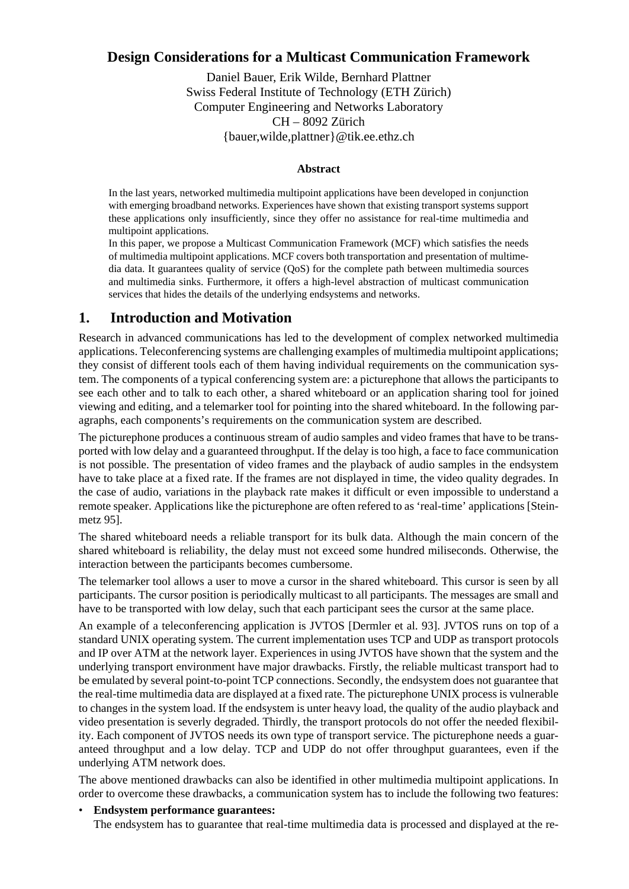## **Design Considerations for a Multicast Communication Framework**

Daniel Bauer, Erik Wilde, Bernhard Plattner Swiss Federal Institute of Technology (ETH Zürich) Computer Engineering and Networks Laboratory CH – 8092 Zürich {bauer,wilde,plattner}@tik.ee.ethz.ch

#### **Abstract**

In the last years, networked multimedia multipoint applications have been developed in conjunction with emerging broadband networks. Experiences have shown that existing transport systems support these applications only insufficiently, since they offer no assistance for real-time multimedia and multipoint applications.

In this paper, we propose a Multicast Communication Framework (MCF) which satisfies the needs of multimedia multipoint applications. MCF covers both transportation and presentation of multimedia data. It guarantees quality of service (QoS) for the complete path between multimedia sources and multimedia sinks. Furthermore, it offers a high-level abstraction of multicast communication services that hides the details of the underlying endsystems and networks.

## **1. Introduction and Motivation**

Research in advanced communications has led to the development of complex networked multimedia applications. Teleconferencing systems are challenging examples of multimedia multipoint applications; they consist of different tools each of them having individual requirements on the communication system. The components of a typical conferencing system are: a picturephone that allows the participants to see each other and to talk to each other, a shared whiteboard or an application sharing tool for joined viewing and editing, and a telemarker tool for pointing into the shared whiteboard. In the following paragraphs, each components's requirements on the communication system are described.

The picturephone produces a continuous stream of audio samples and video frames that have to be transported with low delay and a guaranteed throughput. If the delay is too high, a face to face communication is not possible. The presentation of video frames and the playback of audio samples in the endsystem have to take place at a fixed rate. If the frames are not displayed in time, the video quality degrades. In the case of audio, variations in the playback rate makes it difficult or even impossible to understand a remote speaker. Applications like the picturephone are often refered to as 'real-time' applications [Steinmetz 95].

The shared whiteboard needs a reliable transport for its bulk data. Although the main concern of the shared whiteboard is reliability, the delay must not exceed some hundred miliseconds. Otherwise, the interaction between the participants becomes cumbersome.

The telemarker tool allows a user to move a cursor in the shared whiteboard. This cursor is seen by all participants. The cursor position is periodically multicast to all participants. The messages are small and have to be transported with low delay, such that each participant sees the cursor at the same place.

An example of a teleconferencing application is JVTOS [Dermler et al. 93]. JVTOS runs on top of a standard UNIX operating system. The current implementation uses TCP and UDP as transport protocols and IP over ATM at the network layer. Experiences in using JVTOS have shown that the system and the underlying transport environment have major drawbacks. Firstly, the reliable multicast transport had to be emulated by several point-to-point TCP connections. Secondly, the endsystem does not guarantee that the real-time multimedia data are displayed at a fixed rate. The picturephone UNIX process is vulnerable to changes in the system load. If the endsystem is unter heavy load, the quality of the audio playback and video presentation is severly degraded. Thirdly, the transport protocols do not offer the needed flexibility. Each component of JVTOS needs its own type of transport service. The picturephone needs a guaranteed throughput and a low delay. TCP and UDP do not offer throughput guarantees, even if the underlying ATM network does.

The above mentioned drawbacks can also be identified in other multimedia multipoint applications. In order to overcome these drawbacks, a communication system has to include the following two features:

#### • **Endsystem performance guarantees:**

The endsystem has to guarantee that real-time multimedia data is processed and displayed at the re-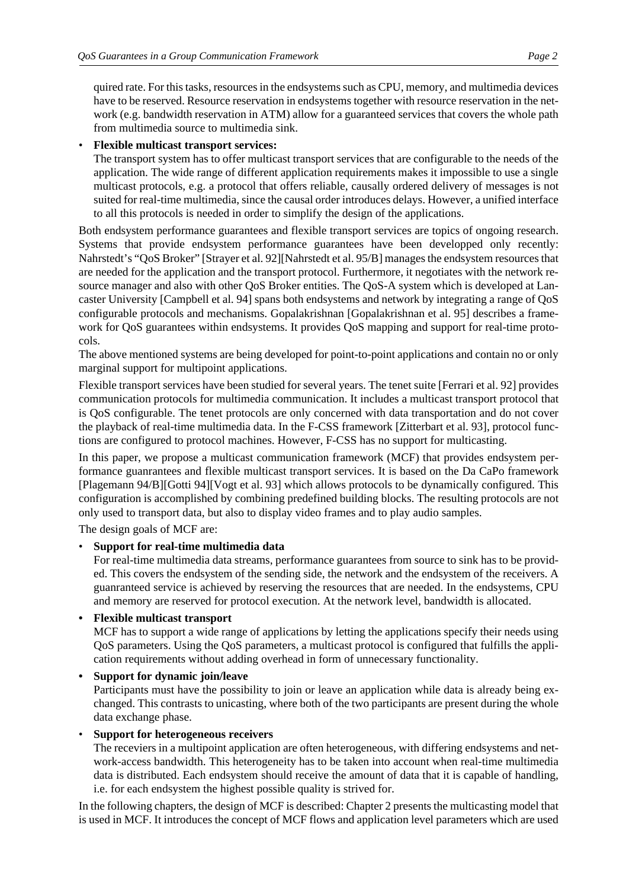quired rate. For this tasks, resources in the endsystems such as CPU, memory, and multimedia devices have to be reserved. Resource reservation in endsystems together with resource reservation in the network (e.g. bandwidth reservation in ATM) allow for a guaranteed services that covers the whole path from multimedia source to multimedia sink.

#### • **Flexible multicast transport services:**

The transport system has to offer multicast transport services that are configurable to the needs of the application. The wide range of different application requirements makes it impossible to use a single multicast protocols, e.g. a protocol that offers reliable, causally ordered delivery of messages is not suited for real-time multimedia, since the causal order introduces delays. However, a unified interface to all this protocols is needed in order to simplify the design of the applications.

Both endsystem performance guarantees and flexible transport services are topics of ongoing research. Systems that provide endsystem performance guarantees have been developped only recently: Nahrstedt's "QoS Broker" [Strayer et al. 92][Nahrstedt et al. 95/B] manages the endsystem resources that are needed for the application and the transport protocol. Furthermore, it negotiates with the network resource manager and also with other QoS Broker entities. The QoS-A system which is developed at Lancaster University [Campbell et al. 94] spans both endsystems and network by integrating a range of QoS configurable protocols and mechanisms. Gopalakrishnan [Gopalakrishnan et al. 95] describes a framework for QoS guarantees within endsystems. It provides QoS mapping and support for real-time protocols.

The above mentioned systems are being developed for point-to-point applications and contain no or only marginal support for multipoint applications.

Flexible transport services have been studied for several years. The tenet suite [Ferrari et al. 92] provides communication protocols for multimedia communication. It includes a multicast transport protocol that is QoS configurable. The tenet protocols are only concerned with data transportation and do not cover the playback of real-time multimedia data. In the F-CSS framework [Zitterbart et al. 93], protocol functions are configured to protocol machines. However, F-CSS has no support for multicasting.

In this paper, we propose a multicast communication framework (MCF) that provides endsystem performance guanrantees and flexible multicast transport services. It is based on the Da CaPo framework [Plagemann 94/B][Gotti 94][Vogt et al. 93] which allows protocols to be dynamically configured. This configuration is accomplished by combining predefined building blocks. The resulting protocols are not only used to transport data, but also to display video frames and to play audio samples.

The design goals of MCF are:

### • **Support for real-time multimedia data**

For real-time multimedia data streams, performance guarantees from source to sink has to be provided. This covers the endsystem of the sending side, the network and the endsystem of the receivers. A guanranteed service is achieved by reserving the resources that are needed. In the endsystems, CPU and memory are reserved for protocol execution. At the network level, bandwidth is allocated.

### **• Flexible multicast transport**

MCF has to support a wide range of applications by letting the applications specify their needs using QoS parameters. Using the QoS parameters, a multicast protocol is configured that fulfills the application requirements without adding overhead in form of unnecessary functionality.

**• Support for dynamic join/leave**

Participants must have the possibility to join or leave an application while data is already being exchanged. This contrasts to unicasting, where both of the two participants are present during the whole data exchange phase.

### • **Support for heterogeneous receivers**

The receviers in a multipoint application are often heterogeneous, with differing endsystems and network-access bandwidth. This heterogeneity has to be taken into account when real-time multimedia data is distributed. Each endsystem should receive the amount of data that it is capable of handling, i.e. for each endsystem the highest possible quality is strived for.

In the following chapters, the design of MCF is described: Chapter 2 presents the multicasting model that is used in MCF. It introduces the concept of MCF flows and application level parameters which are used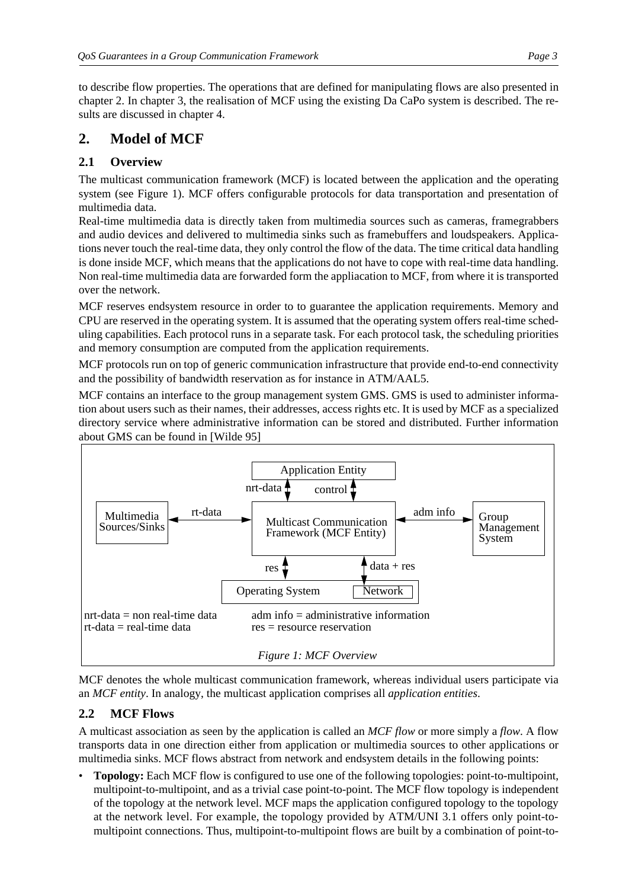to describe flow properties. The operations that are defined for manipulating flows are also presented in chapter 2. In chapter 3, the realisation of MCF using the existing Da CaPo system is described. The results are discussed in chapter 4.

# **2. Model of MCF**

# **2.1 Overview**

The multicast communication framework (MCF) is located between the application and the operating system (see Figure 1). MCF offers configurable protocols for data transportation and presentation of multimedia data.

Real-time multimedia data is directly taken from multimedia sources such as cameras, framegrabbers and audio devices and delivered to multimedia sinks such as framebuffers and loudspeakers. Applications never touch the real-time data, they only control the flow of the data. The time critical data handling is done inside MCF, which means that the applications do not have to cope with real-time data handling. Non real-time multimedia data are forwarded form the appliacation to MCF, from where it is transported over the network.

MCF reserves endsystem resource in order to to guarantee the application requirements. Memory and CPU are reserved in the operating system. It is assumed that the operating system offers real-time scheduling capabilities. Each protocol runs in a separate task. For each protocol task, the scheduling priorities and memory consumption are computed from the application requirements.

MCF protocols run on top of generic communication infrastructure that provide end-to-end connectivity and the possibility of bandwidth reservation as for instance in ATM/AAL5.

MCF contains an interface to the group management system GMS. GMS is used to administer information about users such as their names, their addresses, access rights etc. It is used by MCF as a specialized directory service where administrative information can be stored and distributed. Further information about GMS can be found in [Wilde 95]



MCF denotes the whole multicast communication framework, whereas individual users participate via an *MCF entity*. In analogy, the multicast application comprises all *application entities*.

# **2.2 MCF Flows**

A multicast association as seen by the application is called an *MCF flow* or more simply a *flow*. A flow transports data in one direction either from application or multimedia sources to other applications or multimedia sinks. MCF flows abstract from network and endsystem details in the following points:

• **Topology:** Each MCF flow is configured to use one of the following topologies: point-to-multipoint, multipoint-to-multipoint, and as a trivial case point-to-point. The MCF flow topology is independent of the topology at the network level. MCF maps the application configured topology to the topology at the network level. For example, the topology provided by ATM/UNI 3.1 offers only point-tomultipoint connections. Thus, multipoint-to-multipoint flows are built by a combination of point-to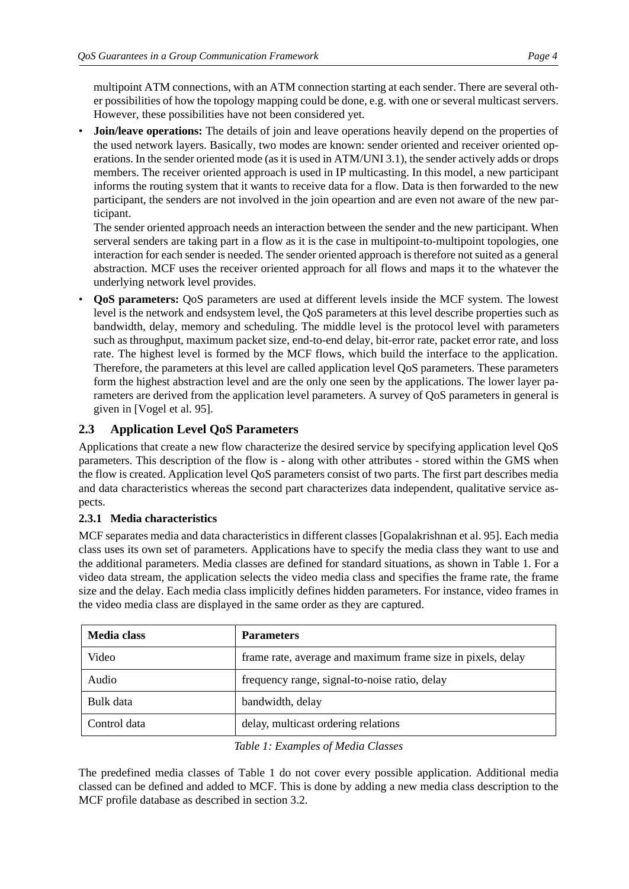multipoint ATM connections, with an ATM connection starting at each sender. There are several other possibilities of how the topology mapping could be done, e.g. with one or several multicast servers. However, these possibilities have not been considered yet.

• **Join/leave operations:** The details of join and leave operations heavily depend on the properties of the used network layers. Basically, two modes are known: sender oriented and receiver oriented operations. In the sender oriented mode (as it is used in ATM/UNI 3.1), the sender actively adds or drops members. The receiver oriented approach is used in IP multicasting. In this model, a new participant informs the routing system that it wants to receive data for a flow. Data is then forwarded to the new participant, the senders are not involved in the join opeartion and are even not aware of the new participant.

The sender oriented approach needs an interaction between the sender and the new participant. When serveral senders are taking part in a flow as it is the case in multipoint-to-multipoint topologies, one interaction for each sender is needed. The sender oriented approach is therefore not suited as a general abstraction. MCF uses the receiver oriented approach for all flows and maps it to the whatever the underlying network level provides.

• **QoS parameters:** QoS parameters are used at different levels inside the MCF system. The lowest level is the network and endsystem level, the QoS parameters at this level describe properties such as bandwidth, delay, memory and scheduling. The middle level is the protocol level with parameters such as throughput, maximum packet size, end-to-end delay, bit-error rate, packet error rate, and loss rate. The highest level is formed by the MCF flows, which build the interface to the application. Therefore, the parameters at this level are called application level QoS parameters. These parameters form the highest abstraction level and are the only one seen by the applications. The lower layer parameters are derived from the application level parameters. A survey of QoS parameters in general is given in [Vogel et al. 95].

## **2.3 Application Level QoS Parameters**

Applications that create a new flow characterize the desired service by specifying application level QoS parameters. This description of the flow is - along with other attributes - stored within the GMS when the flow is created. Application level QoS parameters consist of two parts. The first part describes media and data characteristics whereas the second part characterizes data independent, qualitative service aspects.

### **2.3.1 Media characteristics**

MCF separates media and data characteristics in different classes [Gopalakrishnan et al. 95]. Each media class uses its own set of parameters. Applications have to specify the media class they want to use and the additional parameters. Media classes are defined for standard situations, as shown in Table 1. For a video data stream, the application selects the video media class and specifies the frame rate, the frame size and the delay. Each media class implicitly defines hidden parameters. For instance, video frames in the video media class are displayed in the same order as they are captured.

| <b>Media class</b> | <b>Parameters</b>                                           |
|--------------------|-------------------------------------------------------------|
| Video              | frame rate, average and maximum frame size in pixels, delay |
| Audio              | frequency range, signal-to-noise ratio, delay               |
| Bulk data          | bandwidth, delay                                            |
| Control data       | delay, multicast ordering relations                         |

#### *Table 1: Examples of Media Classes*

The predefined media classes of Table 1 do not cover every possible application. Additional media classed can be defined and added to MCF. This is done by adding a new media class description to the MCF profile database as described in section 3.2.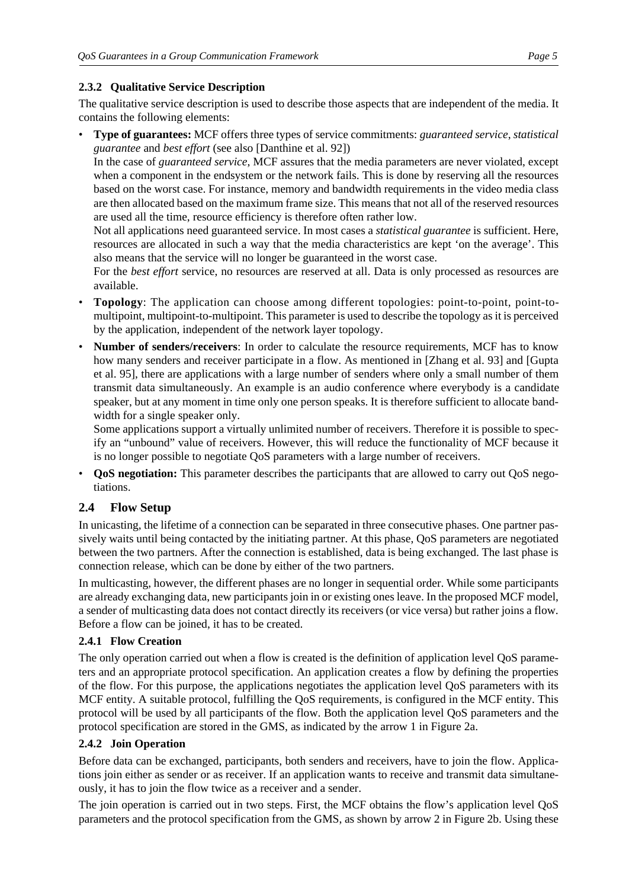#### **2.3.2 Qualitative Service Description**

The qualitative service description is used to describe those aspects that are independent of the media. It contains the following elements:

• **Type of guarantees:** MCF offers three types of service commitments: *guaranteed service*, *statistical guarantee* and *best effort* (see also [Danthine et al. 92])

In the case of *guaranteed service*, MCF assures that the media parameters are never violated, except when a component in the endsystem or the network fails. This is done by reserving all the resources based on the worst case. For instance, memory and bandwidth requirements in the video media class are then allocated based on the maximum frame size. This means that not all of the reserved resources are used all the time, resource efficiency is therefore often rather low.

Not all applications need guaranteed service. In most cases a *statistical guarantee* is sufficient. Here, resources are allocated in such a way that the media characteristics are kept 'on the average'. This also means that the service will no longer be guaranteed in the worst case.

For the *best effort* service, no resources are reserved at all. Data is only processed as resources are available.

- **Topology**: The application can choose among different topologies: point-to-point, point-tomultipoint, multipoint-to-multipoint. This parameter is used to describe the topology as it is perceived by the application, independent of the network layer topology.
- **Number of senders/receivers**: In order to calculate the resource requirements, MCF has to know how many senders and receiver participate in a flow. As mentioned in [Zhang et al. 93] and [Gupta et al. 95], there are applications with a large number of senders where only a small number of them transmit data simultaneously. An example is an audio conference where everybody is a candidate speaker, but at any moment in time only one person speaks. It is therefore sufficient to allocate bandwidth for a single speaker only.

Some applications support a virtually unlimited number of receivers. Therefore it is possible to specify an "unbound" value of receivers. However, this will reduce the functionality of MCF because it is no longer possible to negotiate QoS parameters with a large number of receivers.

• **QoS negotiation:** This parameter describes the participants that are allowed to carry out QoS negotiations.

## **2.4 Flow Setup**

In unicasting, the lifetime of a connection can be separated in three consecutive phases. One partner passively waits until being contacted by the initiating partner. At this phase, QoS parameters are negotiated between the two partners. After the connection is established, data is being exchanged. The last phase is connection release, which can be done by either of the two partners.

In multicasting, however, the different phases are no longer in sequential order. While some participants are already exchanging data, new participants join in or existing ones leave. In the proposed MCF model, a sender of multicasting data does not contact directly its receivers (or vice versa) but rather joins a flow. Before a flow can be joined, it has to be created.

### **2.4.1 Flow Creation**

The only operation carried out when a flow is created is the definition of application level QoS parameters and an appropriate protocol specification. An application creates a flow by defining the properties of the flow. For this purpose, the applications negotiates the application level QoS parameters with its MCF entity. A suitable protocol, fulfilling the QoS requirements, is configured in the MCF entity. This protocol will be used by all participants of the flow. Both the application level QoS parameters and the protocol specification are stored in the GMS, as indicated by the arrow 1 in Figure 2a.

### **2.4.2 Join Operation**

Before data can be exchanged, participants, both senders and receivers, have to join the flow. Applications join either as sender or as receiver. If an application wants to receive and transmit data simultaneously, it has to join the flow twice as a receiver and a sender.

The join operation is carried out in two steps. First, the MCF obtains the flow's application level QoS parameters and the protocol specification from the GMS, as shown by arrow 2 in Figure 2b. Using these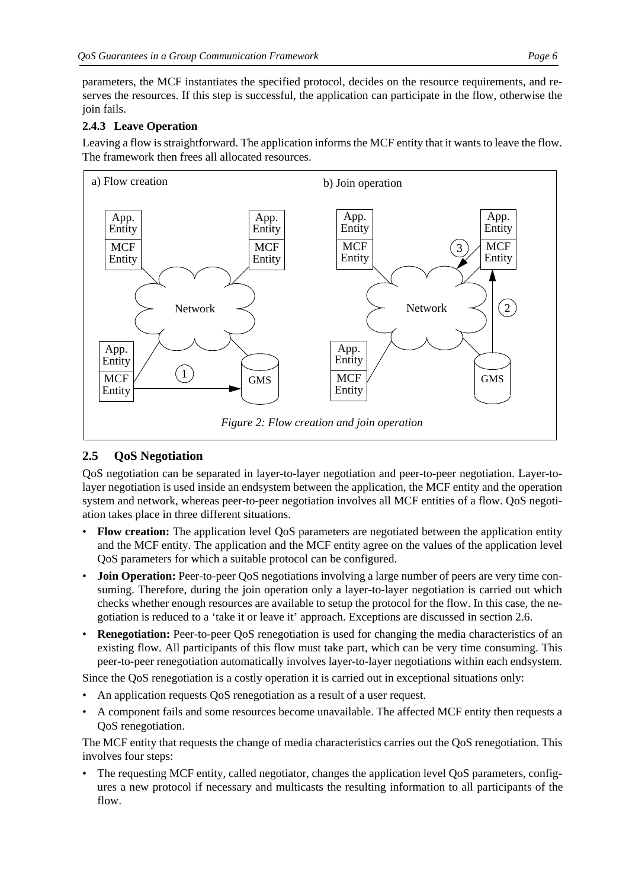parameters, the MCF instantiates the specified protocol, decides on the resource requirements, and reserves the resources. If this step is successful, the application can participate in the flow, otherwise the join fails.

### **2.4.3 Leave Operation**

Leaving a flow is straightforward. The application informs the MCF entity that it wants to leave the flow. The framework then frees all allocated resources.



## **2.5 QoS Negotiation**

QoS negotiation can be separated in layer-to-layer negotiation and peer-to-peer negotiation. Layer-tolayer negotiation is used inside an endsystem between the application, the MCF entity and the operation system and network, whereas peer-to-peer negotiation involves all MCF entities of a flow. QoS negotiation takes place in three different situations.

- **Flow creation:** The application level QoS parameters are negotiated between the application entity and the MCF entity. The application and the MCF entity agree on the values of the application level QoS parameters for which a suitable protocol can be configured.
- **Join Operation:** Peer-to-peer QoS negotiations involving a large number of peers are very time consuming. Therefore, during the join operation only a layer-to-layer negotiation is carried out which checks whether enough resources are available to setup the protocol for the flow. In this case, the negotiation is reduced to a 'take it or leave it' approach. Exceptions are discussed in section 2.6.
- **Renegotiation:** Peer-to-peer QoS renegotiation is used for changing the media characteristics of an existing flow. All participants of this flow must take part, which can be very time consuming. This peer-to-peer renegotiation automatically involves layer-to-layer negotiations within each endsystem.

Since the QoS renegotiation is a costly operation it is carried out in exceptional situations only:

- An application requests QoS renegotiation as a result of a user request.
- A component fails and some resources become unavailable. The affected MCF entity then requests a QoS renegotiation.

The MCF entity that requests the change of media characteristics carries out the QoS renegotiation. This involves four steps:

The requesting MCF entity, called negotiator, changes the application level QoS parameters, configures a new protocol if necessary and multicasts the resulting information to all participants of the flow.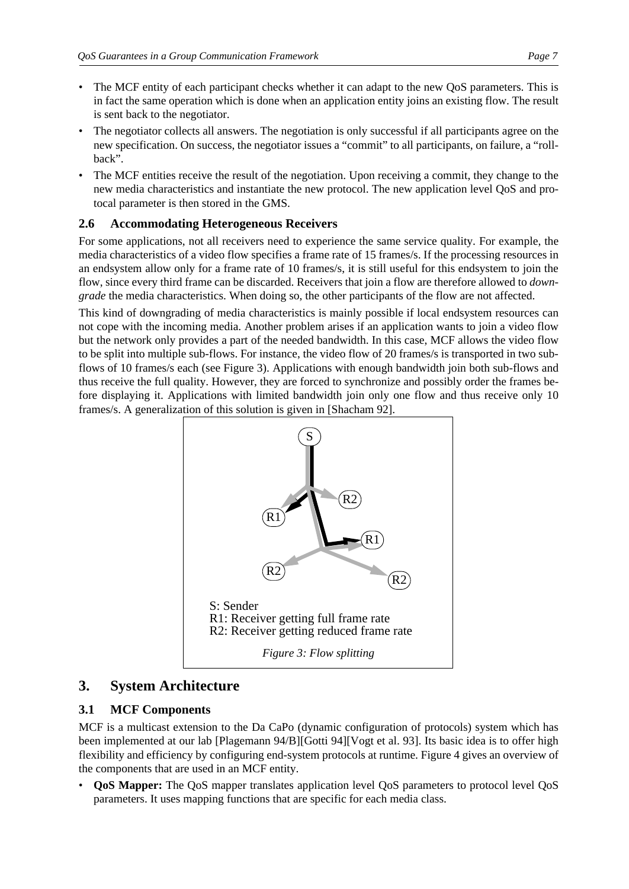- The MCF entity of each participant checks whether it can adapt to the new QoS parameters. This is in fact the same operation which is done when an application entity joins an existing flow. The result is sent back to the negotiator.
- The negotiator collects all answers. The negotiation is only successful if all participants agree on the new specification. On success, the negotiator issues a "commit" to all participants, on failure, a "rollback".
- The MCF entities receive the result of the negotiation. Upon receiving a commit, they change to the new media characteristics and instantiate the new protocol. The new application level QoS and protocal parameter is then stored in the GMS.

### **2.6 Accommodating Heterogeneous Receivers**

For some applications, not all receivers need to experience the same service quality. For example, the media characteristics of a video flow specifies a frame rate of 15 frames/s. If the processing resources in an endsystem allow only for a frame rate of 10 frames/s, it is still useful for this endsystem to join the flow, since every third frame can be discarded. Receivers that join a flow are therefore allowed to *downgrade* the media characteristics. When doing so, the other participants of the flow are not affected.

This kind of downgrading of media characteristics is mainly possible if local endsystem resources can not cope with the incoming media. Another problem arises if an application wants to join a video flow but the network only provides a part of the needed bandwidth. In this case, MCF allows the video flow to be split into multiple sub-flows. For instance, the video flow of 20 frames/s is transported in two subflows of 10 frames/s each (see Figure 3). Applications with enough bandwidth join both sub-flows and thus receive the full quality. However, they are forced to synchronize and possibly order the frames before displaying it. Applications with limited bandwidth join only one flow and thus receive only 10 frames/s. A generalization of this solution is given in [Shacham 92].



# **3. System Architecture**

## **3.1 MCF Components**

MCF is a multicast extension to the Da CaPo (dynamic configuration of protocols) system which has been implemented at our lab [Plagemann 94/B][Gotti 94][Vogt et al. 93]. Its basic idea is to offer high flexibility and efficiency by configuring end-system protocols at runtime. Figure 4 gives an overview of the components that are used in an MCF entity.

• **QoS Mapper:** The QoS mapper translates application level QoS parameters to protocol level QoS parameters. It uses mapping functions that are specific for each media class.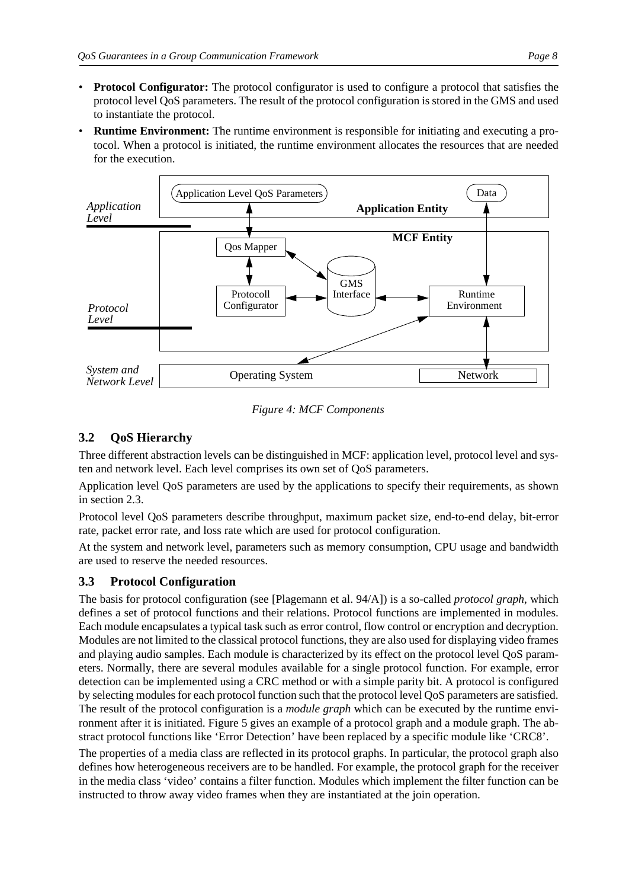- **Protocol Configurator:** The protocol configurator is used to configure a protocol that satisfies the protocol level QoS parameters. The result of the protocol configuration is stored in the GMS and used to instantiate the protocol.
- **Runtime Environment:** The runtime environment is responsible for initiating and executing a protocol. When a protocol is initiated, the runtime environment allocates the resources that are needed for the execution.



*Figure 4: MCF Components*

## **3.2 QoS Hierarchy**

Three different abstraction levels can be distinguished in MCF: application level, protocol level and systen and network level. Each level comprises its own set of QoS parameters.

Application level QoS parameters are used by the applications to specify their requirements, as shown in section 2.3.

Protocol level QoS parameters describe throughput, maximum packet size, end-to-end delay, bit-error rate, packet error rate, and loss rate which are used for protocol configuration.

At the system and network level, parameters such as memory consumption, CPU usage and bandwidth are used to reserve the needed resources.

## **3.3 Protocol Configuration**

The basis for protocol configuration (see [Plagemann et al. 94/A]) is a so-called *protocol graph*, which defines a set of protocol functions and their relations. Protocol functions are implemented in modules. Each module encapsulates a typical task such as error control, flow control or encryption and decryption. Modules are not limited to the classical protocol functions, they are also used for displaying video frames and playing audio samples. Each module is characterized by its effect on the protocol level QoS parameters. Normally, there are several modules available for a single protocol function. For example, error detection can be implemented using a CRC method or with a simple parity bit. A protocol is configured by selecting modules for each protocol function such that the protocol level QoS parameters are satisfied. The result of the protocol configuration is a *module graph* which can be executed by the runtime environment after it is initiated. Figure 5 gives an example of a protocol graph and a module graph. The abstract protocol functions like 'Error Detection' have been replaced by a specific module like 'CRC8'.

The properties of a media class are reflected in its protocol graphs. In particular, the protocol graph also defines how heterogeneous receivers are to be handled. For example, the protocol graph for the receiver in the media class 'video' contains a filter function. Modules which implement the filter function can be instructed to throw away video frames when they are instantiated at the join operation.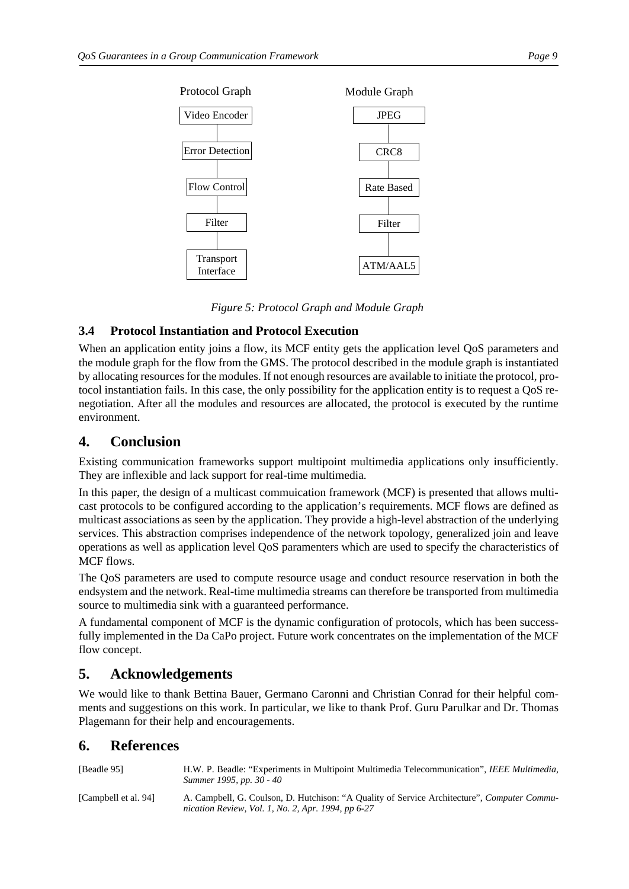



## **3.4 Protocol Instantiation and Protocol Execution**

When an application entity joins a flow, its MCF entity gets the application level QoS parameters and the module graph for the flow from the GMS. The protocol described in the module graph is instantiated by allocating resources for the modules. If not enough resources are available to initiate the protocol, protocol instantiation fails. In this case, the only possibility for the application entity is to request a QoS renegotiation. After all the modules and resources are allocated, the protocol is executed by the runtime environment.

# **4. Conclusion**

Existing communication frameworks support multipoint multimedia applications only insufficiently. They are inflexible and lack support for real-time multimedia.

In this paper, the design of a multicast commuication framework (MCF) is presented that allows multicast protocols to be configured according to the application's requirements. MCF flows are defined as multicast associations as seen by the application. They provide a high-level abstraction of the underlying services. This abstraction comprises independence of the network topology, generalized join and leave operations as well as application level QoS paramenters which are used to specify the characteristics of MCF flows.

The QoS parameters are used to compute resource usage and conduct resource reservation in both the endsystem and the network. Real-time multimedia streams can therefore be transported from multimedia source to multimedia sink with a guaranteed performance.

A fundamental component of MCF is the dynamic configuration of protocols, which has been successfully implemented in the Da CaPo project. Future work concentrates on the implementation of the MCF flow concept.

# **5. Acknowledgements**

We would like to thank Bettina Bauer, Germano Caronni and Christian Conrad for their helpful comments and suggestions on this work. In particular, we like to thank Prof. Guru Parulkar and Dr. Thomas Plagemann for their help and encouragements.

# **6. References**

| [Beadle 95]          | H.W. P. Beadle: "Experiments in Multipoint Multimedia Telecommunication", IEEE Multimedia,<br>Summer 1995, pp. 30 - 40                            |
|----------------------|---------------------------------------------------------------------------------------------------------------------------------------------------|
| [Campbell et al. 94] | A. Campbell, G. Coulson, D. Hutchison: "A Quality of Service Architecture", Computer Commu-<br>nication Review, Vol. 1, No. 2, Apr. 1994, pp 6-27 |